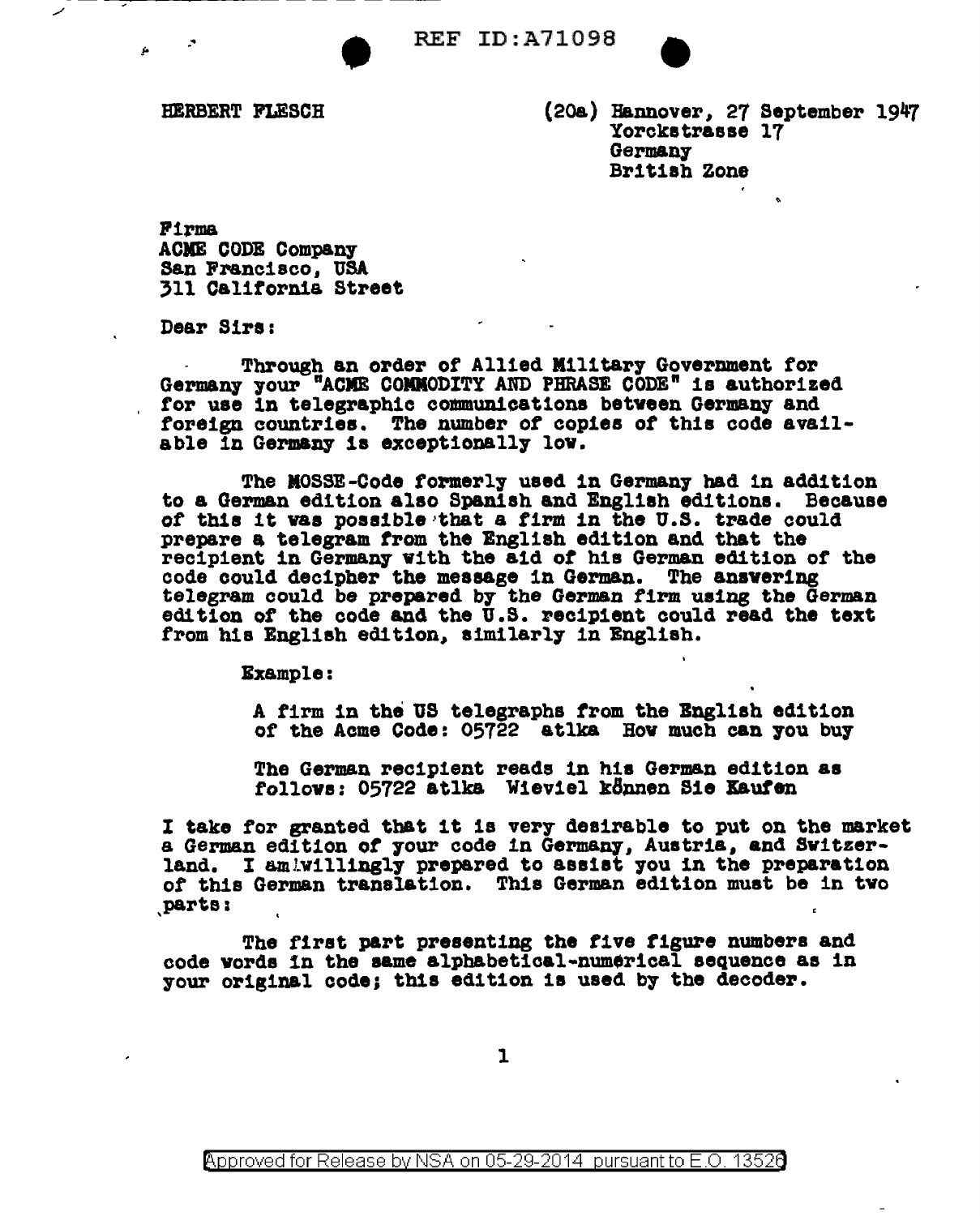**REF ID: A71098** 

HERBERT FLESCH

(20a) Hannover, 27 September 1947 Yorckstrasse 17 Germany British Zone

Firma **ACME CODE Company** San Francisco, USA 311 California Street

Dear Sirs:

Through an order of Allied Military Government for Germany your "ACME COMMODITY AND PHRASE CODE" is authorized for use in telegraphic communications between Germany and foreign countries. The number of copies of this code available in Germany is exceptionally low.

The MOSSE-Code formerly used in Germany had in addition to a German edition also Spanish and English editions. Because of this it was possible that a firm in the U.S. trade could prepare a telegram from the English edition and that the recipient in Germany with the aid of his German edition of the code could decipher the message in German. The answering telegram could be prepared by the German firm using the German edition of the code and the U.S. recipient could read the text from his English edition, similarly in English.

**Example:** 

A firm in the US telegraphs from the English edition of the Acme Code: 05722 atlka How much can you buy

The German recipient reads in his German edition as follows: 05722 atlka Wieviel können Sie Kaufen

I take for granted that it is very desirable to put on the market a German edition of your code in Germany, Austria, and Switzerland. I amiwillingly prepared to assist you in the preparation of this German translation. This German edition must be in two parts:

The first part presenting the five figure numbers and code vords in the same alphabetical-numerical sequence as in your original code; this edition is used by the decoder.

 $\mathbf{1}$